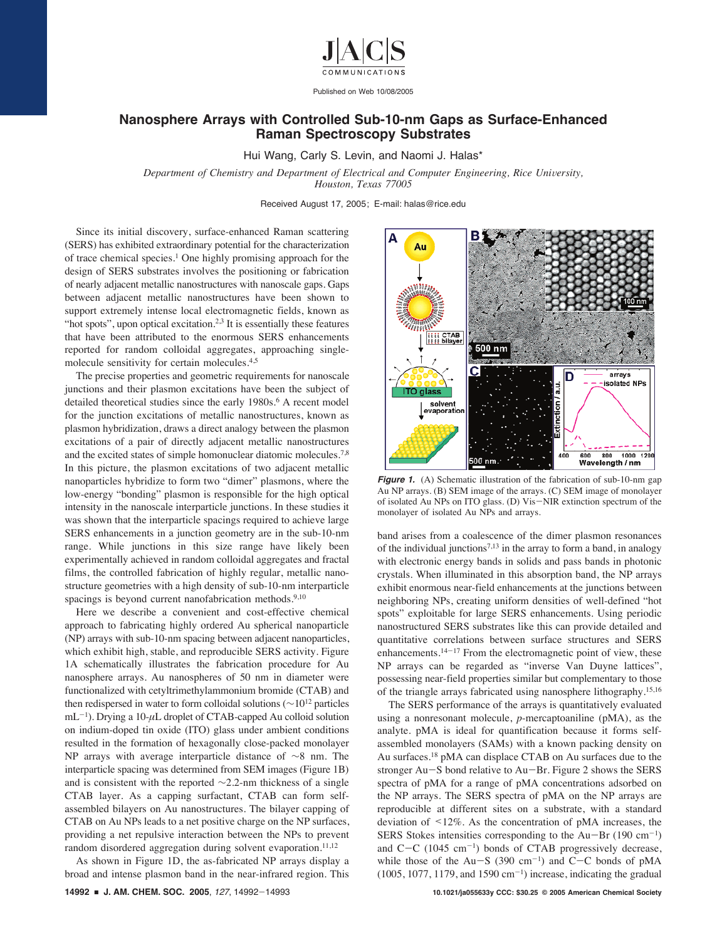

Published on Web 10/08/2005

## **Nanosphere Arrays with Controlled Sub-10-nm Gaps as Surface-Enhanced Raman Spectroscopy Substrates**

Hui Wang, Carly S. Levin, and Naomi J. Halas\*

*Department of Chemistry and Department of Electrical and Computer Engineering, Rice University, Houston, Texas 77005*

Received August 17, 2005; E-mail: halas@rice.edu

Since its initial discovery, surface-enhanced Raman scattering (SERS) has exhibited extraordinary potential for the characterization of trace chemical species.1 One highly promising approach for the design of SERS substrates involves the positioning or fabrication of nearly adjacent metallic nanostructures with nanoscale gaps. Gaps between adjacent metallic nanostructures have been shown to support extremely intense local electromagnetic fields, known as "hot spots", upon optical excitation.<sup>2,3</sup> It is essentially these features that have been attributed to the enormous SERS enhancements reported for random colloidal aggregates, approaching singlemolecule sensitivity for certain molecules.<sup>4,5</sup>

The precise properties and geometric requirements for nanoscale junctions and their plasmon excitations have been the subject of detailed theoretical studies since the early 1980s.<sup>6</sup> A recent model for the junction excitations of metallic nanostructures, known as plasmon hybridization, draws a direct analogy between the plasmon excitations of a pair of directly adjacent metallic nanostructures and the excited states of simple homonuclear diatomic molecules.7,8 In this picture, the plasmon excitations of two adjacent metallic nanoparticles hybridize to form two "dimer" plasmons, where the low-energy "bonding" plasmon is responsible for the high optical intensity in the nanoscale interparticle junctions. In these studies it was shown that the interparticle spacings required to achieve large SERS enhancements in a junction geometry are in the sub-10-nm range. While junctions in this size range have likely been experimentally achieved in random colloidal aggregates and fractal films, the controlled fabrication of highly regular, metallic nanostructure geometries with a high density of sub-10-nm interparticle spacings is beyond current nanofabrication methods. $9,10$ 

Here we describe a convenient and cost-effective chemical approach to fabricating highly ordered Au spherical nanoparticle (NP) arrays with sub-10-nm spacing between adjacent nanoparticles, which exhibit high, stable, and reproducible SERS activity. Figure 1A schematically illustrates the fabrication procedure for Au nanosphere arrays. Au nanospheres of 50 nm in diameter were functionalized with cetyltrimethylammonium bromide (CTAB) and then redispersed in water to form colloidal solutions (∼1012 particles  $mL^{-1}$ ). Drying a 10- $\mu$ L droplet of CTAB-capped Au colloid solution on indium-doped tin oxide (ITO) glass under ambient conditions resulted in the formation of hexagonally close-packed monolayer NP arrays with average interparticle distance of ∼8 nm. The interparticle spacing was determined from SEM images (Figure 1B) and is consistent with the reported ∼2.2-nm thickness of a single CTAB layer. As a capping surfactant, CTAB can form selfassembled bilayers on Au nanostructures. The bilayer capping of CTAB on Au NPs leads to a net positive charge on the NP surfaces, providing a net repulsive interaction between the NPs to prevent random disordered aggregation during solvent evaporation.<sup>11,12</sup>

As shown in Figure 1D, the as-fabricated NP arrays display a broad and intense plasmon band in the near-infrared region. This



**Figure 1.** (A) Schematic illustration of the fabrication of sub-10-nm gap Au NP arrays. (B) SEM image of the arrays. (C) SEM image of monolayer of isolated Au NPs on ITO glass. (D) Vis-NIR extinction spectrum of the monolayer of isolated Au NPs and arrays.

band arises from a coalescence of the dimer plasmon resonances of the individual junctions<sup>7,13</sup> in the array to form a band, in analogy with electronic energy bands in solids and pass bands in photonic crystals. When illuminated in this absorption band, the NP arrays exhibit enormous near-field enhancements at the junctions between neighboring NPs, creating uniform densities of well-defined "hot spots" exploitable for large SERS enhancements. Using periodic nanostructured SERS substrates like this can provide detailed and quantitative correlations between surface structures and SERS enhancements. $14-17$  From the electromagnetic point of view, these NP arrays can be regarded as "inverse Van Duyne lattices", possessing near-field properties similar but complementary to those of the triangle arrays fabricated using nanosphere lithography.15,16

The SERS performance of the arrays is quantitatively evaluated using a nonresonant molecule, *p*-mercaptoaniline (pMA), as the analyte. pMA is ideal for quantification because it forms selfassembled monolayers (SAMs) with a known packing density on Au surfaces.18 pMA can displace CTAB on Au surfaces due to the stronger Au-S bond relative to Au-Br. Figure 2 shows the SERS spectra of pMA for a range of pMA concentrations adsorbed on the NP arrays. The SERS spectra of pMA on the NP arrays are reproducible at different sites on a substrate, with a standard deviation of <12%. As the concentration of pMA increases, the SERS Stokes intensities corresponding to the Au-Br  $(190 \text{ cm}^{-1})$ and  $C-C$  (1045  $cm^{-1}$ ) bonds of CTAB progressively decrease, while those of the Au-S (390 cm<sup>-1</sup>) and C-C bonds of pMA  $(1005, 1077, 1179, \text{and } 1590 \text{ cm}^{-1})$  increase, indicating the gradual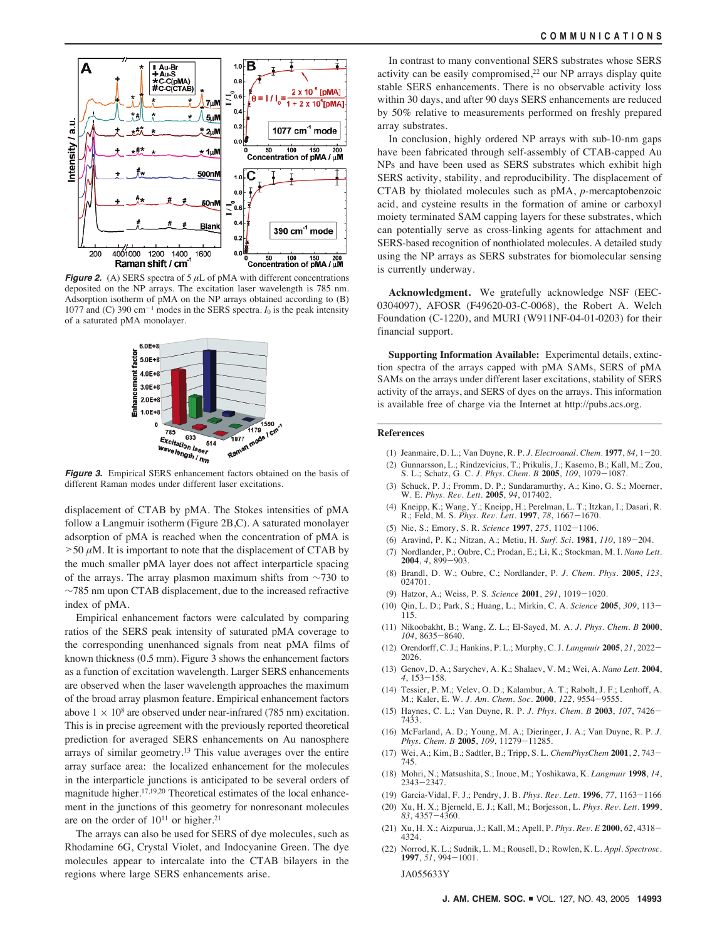

**Figure 2.** (A) SERS spectra of  $5 \mu L$  of pMA with different concentrations deposited on the NP arrays. The excitation laser wavelength is 785 nm. Adsorption isotherm of pMA on the NP arrays obtained according to (B) 1077 and (C) 390 cm<sup>-1</sup> modes in the SERS spectra.  $I_0$  is the peak intensity of a saturated pMA monolayer.



**Figure 3.** Empirical SERS enhancement factors obtained on the basis of different Raman modes under different laser excitations.

displacement of CTAB by pMA. The Stokes intensities of pMA follow a Langmuir isotherm (Figure 2B,C). A saturated monolayer adsorption of pMA is reached when the concentration of pMA is  $>50 \mu$ M. It is important to note that the displacement of CTAB by the much smaller pMA layer does not affect interparticle spacing of the arrays. The array plasmon maximum shifts from ∼730 to ∼785 nm upon CTAB displacement, due to the increased refractive index of pMA.

Empirical enhancement factors were calculated by comparing ratios of the SERS peak intensity of saturated pMA coverage to the corresponding unenhanced signals from neat pMA films of known thickness (0.5 mm). Figure 3 shows the enhancement factors as a function of excitation wavelength. Larger SERS enhancements are observed when the laser wavelength approaches the maximum of the broad array plasmon feature. Empirical enhancement factors above  $1 \times 10^8$  are observed under near-infrared (785 nm) excitation. This is in precise agreement with the previously reported theoretical prediction for averaged SERS enhancements on Au nanosphere arrays of similar geometry.13 This value averages over the entire array surface area: the localized enhancement for the molecules in the interparticle junctions is anticipated to be several orders of magnitude higher.17,19,20 Theoretical estimates of the local enhancement in the junctions of this geometry for nonresonant molecules are on the order of  $10^{11}$  or higher.<sup>21</sup>

The arrays can also be used for SERS of dye molecules, such as Rhodamine 6G, Crystal Violet, and Indocyanine Green. The dye molecules appear to intercalate into the CTAB bilayers in the regions where large SERS enhancements arise.

In contrast to many conventional SERS substrates whose SERS activity can be easily compromised, $2<sup>2</sup>$  our NP arrays display quite stable SERS enhancements. There is no observable activity loss within 30 days, and after 90 days SERS enhancements are reduced by 50% relative to measurements performed on freshly prepared array substrates.

In conclusion, highly ordered NP arrays with sub-10-nm gaps have been fabricated through self-assembly of CTAB-capped Au NPs and have been used as SERS substrates which exhibit high SERS activity, stability, and reproducibility. The displacement of CTAB by thiolated molecules such as pMA, *p-*mercaptobenzoic acid, and cysteine results in the formation of amine or carboxyl moiety terminated SAM capping layers for these substrates, which can potentially serve as cross-linking agents for attachment and SERS-based recognition of nonthiolated molecules. A detailed study using the NP arrays as SERS substrates for biomolecular sensing is currently underway.

**Acknowledgment.** We gratefully acknowledge NSF (EEC-0304097), AFOSR (F49620-03-C-0068), the Robert A. Welch Foundation (C-1220), and MURI (W911NF-04-01-0203) for their financial support.

**Supporting Information Available:** Experimental details, extinction spectra of the arrays capped with pMA SAMs, SERS of pMA SAMs on the arrays under different laser excitations, stability of SERS activity of the arrays, and SERS of dyes on the arrays. This information is available free of charge via the Internet at http://pubs.acs.org.

## **References**

- (1) Jeanmaire, D. L.; Van Duyne, R. P. *J. Electroanal. Chem.* **1977**, *84*, 1-20. (2) Gunnarsson, L.; Rindzevicius, T.; Prikulis, J.; Kasemo, B.; Kall, M.; Zou,
- S. L.; Schatz, G. C. *J. Phys. Chem. B* **2005**, *109*, 1079-1087. (3) Schuck, P. J.; Fromm, D. P.; Sundaramurthy, A.; Kino, G. S.; Moerner, W. E. *Phys. Re*V*. Lett.* **2005**, *94*, 017402.
- (4) Kneipp, K.; Wang, Y.; Kneipp, H.; Perelman, L. T.; Itzkan, I.; Dasari, R. R.; Feld, M. S. *Phys. Re*V*. Lett.* **1997**, *78*, 1667-1670.
- (5) Nie, S.; Emory, S. R. *Science* **1997**, *275*, 1102-1106.
- (6) Aravind, P. K.; Nitzan, A.; Metiu, H. *Surf. Sci.* **1981**, *110*, 189-204.
- (7) Nordlander, P.; Oubre, C.; Prodan, E.; Li, K.; Stockman, M. I. *Nano Lett.* **2004**, *4*, 899-903.
- (8) Brandl, D. W.; Oubre, C.; Nordlander, P. *J. Chem. Phys.* **<sup>2005</sup>**, *<sup>123</sup>*, 024701.
- (9) Hatzor, A.; Weiss, P. S. *Science* **2001**, *291*, 1019-1020.
- (10) Qin, L. D.; Park, S.; Huang, L.; Mirkin, C. A. *Science* **2005**, *309*, 113- 115.
- (11) Nikoobakht, B.; Wang, Z. L.; El-Sayed, M. A. *J. Phys. Chem. B* **<sup>2000</sup>**, *<sup>104</sup>*, 8635-8640.
- (12) Orendorff, C. J.; Hankins, P. L.; Murphy, C. J. *Langmuir* **<sup>2005</sup>**, *<sup>21</sup>*, 2022- 2026.
- (13) Genov, D. A.; Sarychev, A. K.; Shalaev, V. M.; Wei, A. *Nano Lett.* **<sup>2004</sup>**, *<sup>4</sup>*, 153-158.
- (14) Tessier, P. M.; Velev, O. D.; Kalambur, A. T.; Rabolt, J. F.; Lenhoff, A. M.; Kaler, E. W. *J. Am. Chem. Soc.* **2000**, *122*, 9554-9555.
- (15) Haynes, C. L.; Van Duyne, R. P. *J. Phys. Chem. B* **2003**, *107*, 7426- 7433.
- (16) McFarland, A. D.; Young, M. A.; Dieringer, J. A.; Van Duyne, R. P. *J. Phys. Chem. B* **2005**, *109*, 11279-11285.
- (17) Wei, A.; Kim, B.; Sadtler, B.; Tripp, S. L. *ChemPhysChem* **<sup>2001</sup>**, *<sup>2</sup>*, 743- 745.
- (18) Mohri, N.; Matsushita, S.; Inoue, M.; Yoshikawa, K. *Langmuir* **1998**, *14*, 2343-2347.
- (19) Garcia-Vidal, F. J.; Pendry, J. B. *Phys. Re*V*. Lett.* **1996**, *77*, 1163-1166
- (20) Xu, H. X.; Bjerneld, E. J.; Kall, M.; Borjesson, L. *Phys. Re*V*. Lett.* **1999**, *83*, 4357-4360.
- (21) Xu, H. X.; Aizpurua, J.; Kall, M.; Apell, P. *Phys. Re*V*. E* **<sup>2000</sup>**, *<sup>62</sup>*, 4318- 4324.
- (22) Norrod, K. L.; Sudnik, L. M.; Rousell, D.; Rowlen, K. L. *Appl. Spectrosc.* **1997**, *51*, 994-1001.

JA055633Y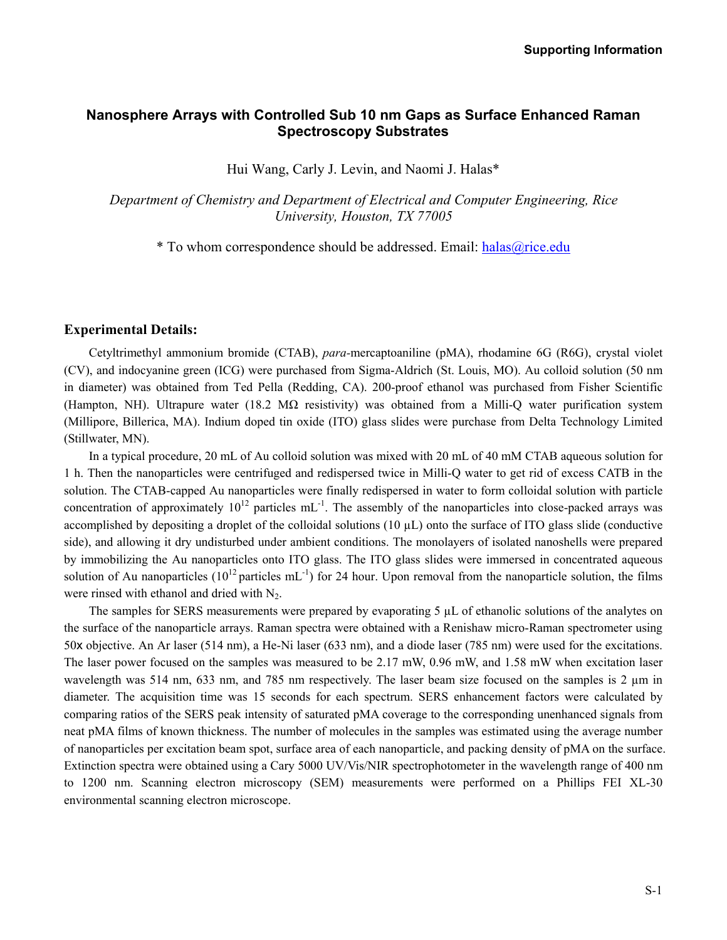## **Nanosphere Arrays with Controlled Sub 10 nm Gaps as Surface Enhanced Raman Spectroscopy Substrates**

Hui Wang, Carly J. Levin, and Naomi J. Halas\*

*Department of Chemistry and Department of Electrical and Computer Engineering, Rice University, Houston, TX 77005* 

\* To whom correspondence should be addressed. Email: [halas@rice.edu](mailto:halas@rice.edu)

## **Experimental Details:**

Cetyltrimethyl ammonium bromide (CTAB), *para-*mercaptoaniline (pMA), rhodamine 6G (R6G), crystal violet (CV), and indocyanine green (ICG) were purchased from Sigma-Aldrich (St. Louis, MO). Au colloid solution (50 nm in diameter) was obtained from Ted Pella (Redding, CA). 200-proof ethanol was purchased from Fisher Scientific (Hampton, NH). Ultrapure water (18.2 M $\Omega$  resistivity) was obtained from a Milli-Q water purification system (Millipore, Billerica, MA). Indium doped tin oxide (ITO) glass slides were purchase from Delta Technology Limited (Stillwater, MN).

In a typical procedure, 20 mL of Au colloid solution was mixed with 20 mL of 40 mM CTAB aqueous solution for 1 h. Then the nanoparticles were centrifuged and redispersed twice in Milli-Q water to get rid of excess CATB in the solution. The CTAB-capped Au nanoparticles were finally redispersed in water to form colloidal solution with particle concentration of approximately  $10^{12}$  particles  $mL^{-1}$ . The assembly of the nanoparticles into close-packed arrays was accomplished by depositing a droplet of the colloidal solutions (10 µL) onto the surface of ITO glass slide (conductive side), and allowing it dry undisturbed under ambient conditions. The monolayers of isolated nanoshells were prepared by immobilizing the Au nanoparticles onto ITO glass. The ITO glass slides were immersed in concentrated aqueous solution of Au nanoparticles  $(10^{12} \text{ particles } \text{mL}^{-1})$  for 24 hour. Upon removal from the nanoparticle solution, the films were rinsed with ethanol and dried with  $N_2$ .

The samples for SERS measurements were prepared by evaporating 5  $\mu$ L of ethanolic solutions of the analytes on the surface of the nanoparticle arrays. Raman spectra were obtained with a Renishaw micro-Raman spectrometer using 50x objective. An Ar laser (514 nm), a He-Ni laser (633 nm), and a diode laser (785 nm) were used for the excitations. The laser power focused on the samples was measured to be 2.17 mW, 0.96 mW, and 1.58 mW when excitation laser wavelength was 514 nm, 633 nm, and 785 nm respectively. The laser beam size focused on the samples is 2  $\mu$ m in diameter. The acquisition time was 15 seconds for each spectrum. SERS enhancement factors were calculated by comparing ratios of the SERS peak intensity of saturated pMA coverage to the corresponding unenhanced signals from neat pMA films of known thickness. The number of molecules in the samples was estimated using the average number of nanoparticles per excitation beam spot, surface area of each nanoparticle, and packing density of pMA on the surface. Extinction spectra were obtained using a Cary 5000 UV/Vis/NIR spectrophotometer in the wavelength range of 400 nm to 1200 nm. Scanning electron microscopy (SEM) measurements were performed on a Phillips FEI XL-30 environmental scanning electron microscope.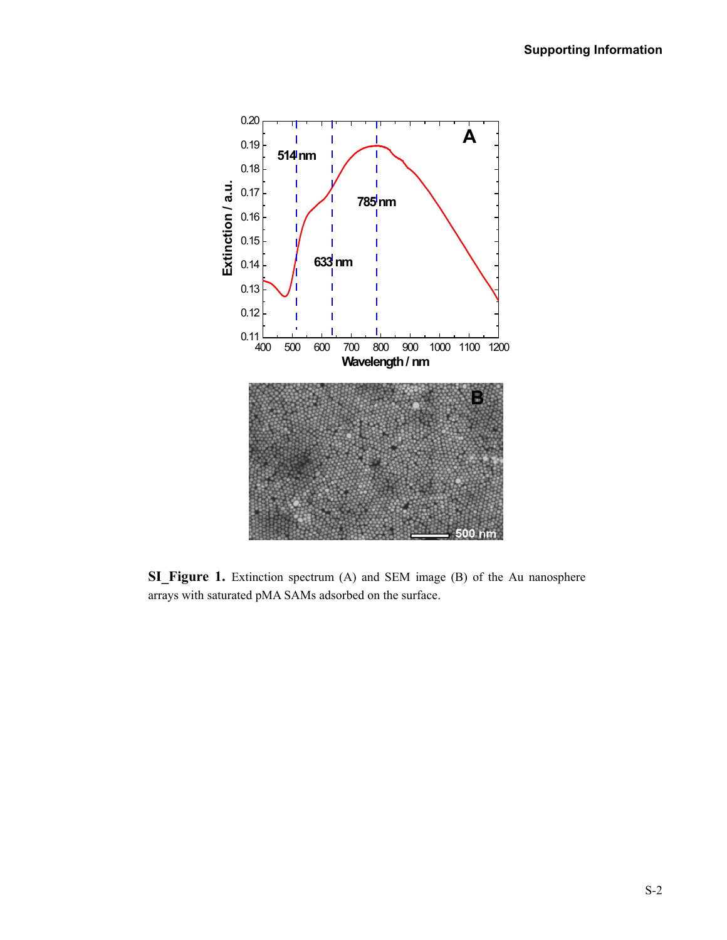

**SI\_Figure 1.** Extinction spectrum (A) and SEM image (B) of the Au nanosphere arrays with saturated pMA SAMs adsorbed on the surface.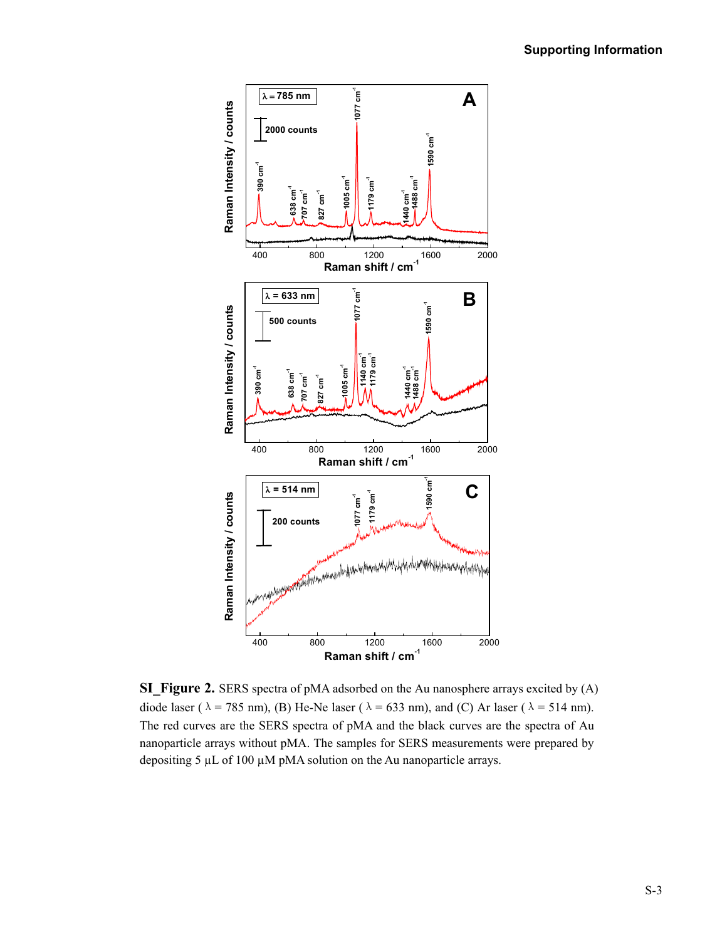

**SI** Figure 2. SERS spectra of pMA adsorbed on the Au nanosphere arrays excited by (A) diode laser ( $\lambda$  = 785 nm), (B) He-Ne laser ( $\lambda$  = 633 nm), and (C) Ar laser ( $\lambda$  = 514 nm). The red curves are the SERS spectra of pMA and the black curves are the spectra of Au nanoparticle arrays without pMA. The samples for SERS measurements were prepared by depositing 5 µL of 100 µM pMA solution on the Au nanoparticle arrays.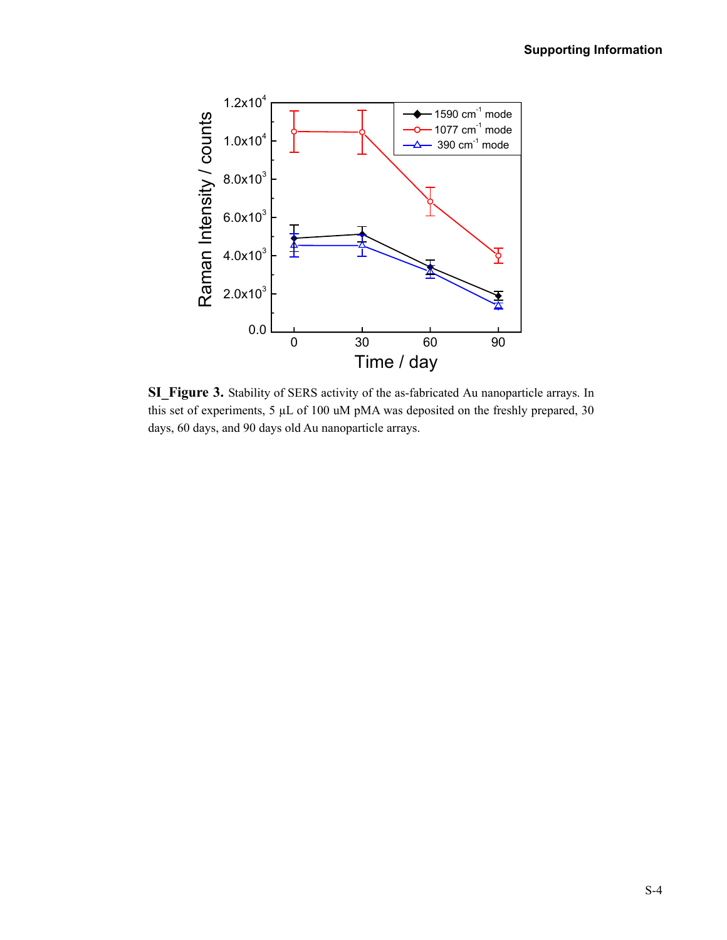

**SI** Figure 3. Stability of SERS activity of the as-fabricated Au nanoparticle arrays. In this set of experiments, 5 µL of 100 uM pMA was deposited on the freshly prepared, 30 days, 60 days, and 90 days old Au nanoparticle arrays.